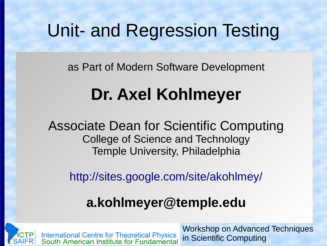### Unit- and Regression Testing

as Part of Modern Software Development

## **Dr. Axel Kohlmeyer**

Associate Dean for Scientific Computing College of Science and Technology Temple University, Philadelphia

<http://sites.google.com/site/akohlmey/>

#### **a.kohlmeyer@temple.edu**



Workshop on Advanced Techniques International Centre for Theoretical Physics<br>South American Institute for Fundamental in Scientific Computing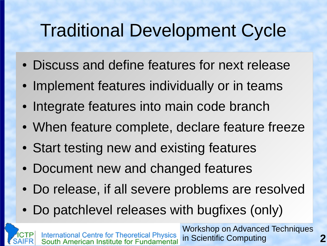## Traditional Development Cycle

- Discuss and define features for next release
- Implement features individually or in teams
- Integrate features into main code branch
- When feature complete, declare feature freeze
- Start testing new and existing features
- Document new and changed features
- Do release, if all severe problems are resolved
- Do patchlevel releases with bugfixes (only)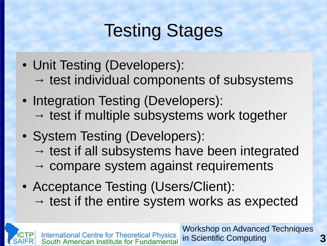## Testing Stages

- Unit Testing (Developers):
	- $\rightarrow$  test individual components of subsystems
- Integration Testing (Developers):  $\rightarrow$  test if multiple subsystems work together
- System Testing (Developers):
	- $\rightarrow$  test if all subsystems have been integrated
	- $\rightarrow$  compare system against requirements
- Acceptance Testing (Users/Client):  $\rightarrow$  test if the entire system works as expected

Workshop on Advanced Techniques International Centre for Theoretical Physics<br>South American Institute for Fundamental in Scientific Computing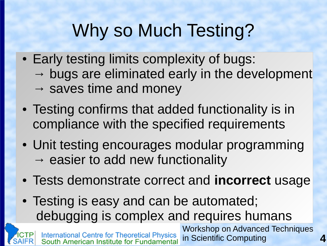# Why so Much Testing?

- Early testing limits complexity of bugs:  $\rightarrow$  bugs are eliminated early in the development  $\rightarrow$  saves time and money
- Testing confirms that added functionality is in compliance with the specified requirements
- Unit testing encourages modular programming  $\rightarrow$  easier to add new functionality
- Tests demonstrate correct and **incorrect** usage

in Scientific Computing

Workshop on Advanced Techniques • Testing is easy and can be automated; debugging is complex and requires humans

International Centre for Theoretical Physics<br>South American Institute for Fundamental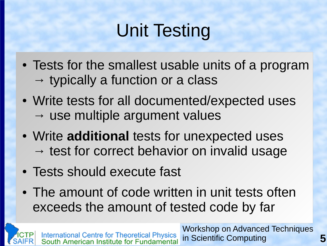# Unit Testing

- Tests for the smallest usable units of a program  $\rightarrow$  typically a function or a class
- Write tests for all documented/expected uses  $\rightarrow$  use multiple argument values
- Write **additional** tests for unexpected uses  $\rightarrow$  test for correct behavior on invalid usage
- Tests should execute fast
- The amount of code written in unit tests often exceeds the amount of tested code by far

Workshop on Advanced Techniques International Centre for Theoretical Physics<br>South American Institute for Fundamental in Scientific Computing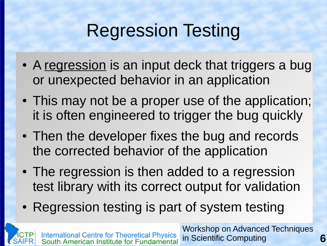## Regression Testing

- A regression is an input deck that triggers a bug or unexpected behavior in an application
- This may not be a proper use of the application; it is often engineered to trigger the bug quickly
- Then the developer fixes the bug and records the corrected behavior of the application
- The regression is then added to a regression test library with its correct output for validation
- Regression testing is part of system testing

Workshop on Advanced Techniques International Centre for Theoretical Physics<br>South American Institute for Fundamental in Scientific Computing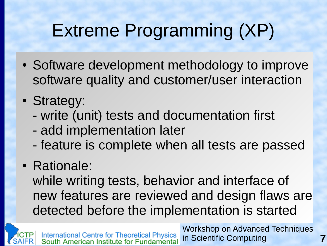# Extreme Programming (XP)

- Software development methodology to improve software quality and customer/user interaction
- Strategy:
	- write (unit) tests and documentation first
	- add implementation later
	- feature is complete when all tests are passed

#### • Rationale:

while writing tests, behavior and interface of new features are reviewed and design flaws are detected before the implementation is started

Workshop on Advanced Techniques International Centre for Theoretical Physics<br>South American Institute for Fundamental in Scientific Computing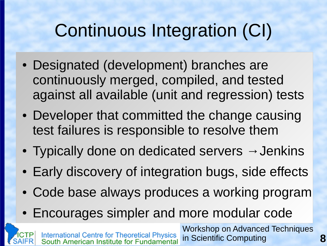# Continuous Integration (CI)

- Designated (development) branches are continuously merged, compiled, and tested against all available (unit and regression) tests
- Developer that committed the change causing test failures is responsible to resolve them
- Typically done on dedicated servers  $\rightarrow$  Jenkins
- Early discovery of integration bugs, side effects
- Code base always produces a working program
- Encourages simpler and more modular code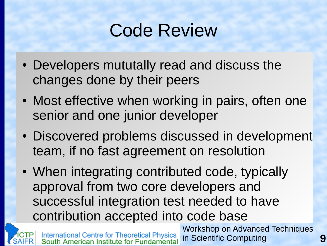## Code Review

- Developers mututally read and discuss the changes done by their peers
- Most effective when working in pairs, often one senior and one junior developer
- Discovered problems discussed in development team, if no fast agreement on resolution
- When integrating contributed code, typically approval from two core developers and successful integration test needed to have contribution accepted into code base

International Centre for Theoretical Physics<br>South American Institute for Fundamental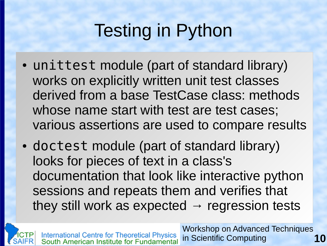# Testing in Python

- unittest module (part of standard library) works on explicitly written unit test classes derived from a base TestCase class: methods whose name start with test are test cases; various assertions are used to compare results
- doctest module (part of standard library) looks for pieces of text in a class's documentation that look like interactive python sessions and repeats them and verifies that they still work as expected  $\rightarrow$  regression tests

Workshop on Advanced Techniques International Centre for Theoretical Physics<br>South American Institute for Fundamental in Scientific Computing **10**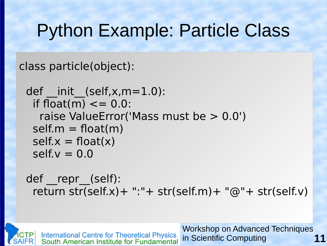## Python Example: Particle Class

class particle(object):

```
def init (self,x,m=1.0):
 if float(m) \leq = 0.0:
   raise ValueError('Mass must be > 0.0')
 self.m = float(m)self.x = float(x)self.v = 0.0
```
def repr (self): return str(self.x)+ ":"+ str(self.m)+ "@"+ str(self.v)

Workshop on Advanced Techniques **International Centre for Theoretical Physics<br>South American Institute for Fundamental 11** in Scientific Computing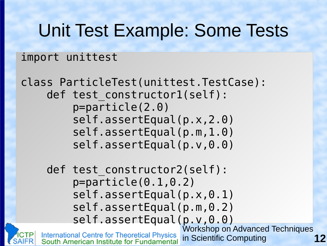#### Unit Test Example: Some Tests

#### import unittest

```
class ParticleTest(unittest.TestCase):
     def test constructor1(self):
           p=particle(2.0)
           self.assertEqual(p.x,2.0)
           self.assertEqual(p.m,1.0)
           self.assertEqual(p.v,0.0)
     def test constructor2(self):
           p=particle(0.1,0.2)
          self.assertEqual(p.x,0.1)
           self.assertEqual(p.m,0.2)
          self.assertEqual(p.v,0.0)
                                 Workshop on Advanced Techniques
    International Centre for Theoretical Physics<br>South American Institute for Fundamental
                                 in Scientific Computing
```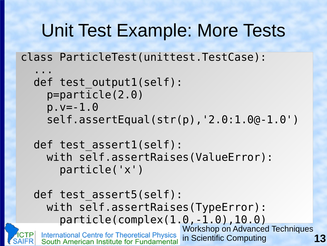#### Unit Test Example: More Tests

class ParticleTest(unittest.TestCase):

```
 ...
 def test output1(self):
     p=particle(2.0)
     p.v=-1.0
     self.assertEqual(str(p),'2.0:1.0@-1.0')
```
def test assert1(self): with self.assertRaises(ValueError): particle('x')

def test assert5(self): with self.assertRaises(TypeError): particle(complex(1.0,-1.0),10.0)Workshop on Advanced Techniques International Centre for Theoretical Physics<br>South American Institute for Fundamental in Scientific Computing **13**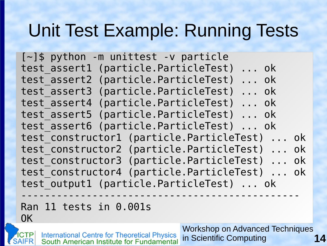### Unit Test Example: Running Tests

[~]\$ python -m unittest -v particle test\_assert1 (particle.ParticleTest) ... ok test\_assert2 (particle.ParticleTest) ... ok test\_assert3 (particle.ParticleTest) ... ok test\_assert4 (particle.ParticleTest) ... ok test\_assert5 (particle.ParticleTest) ... ok test\_assert6 (particle.ParticleTest) ... ok test constructor1 (particle.ParticleTest) ... ok test constructor2 (particle.ParticleTest) ... ok test constructor3 (particle.ParticleTest) ... ok test constructor4 (particle.ParticleTest) ... ok test output1 (particle.ParticleTest) ... ok -----------------------------------------------

Ran 11 tests in 0.001s

OK

International Centre for Theoretical Physics<br>South American Institute for Fundamental

**14** Workshop on Advanced Techniques in Scientific Computing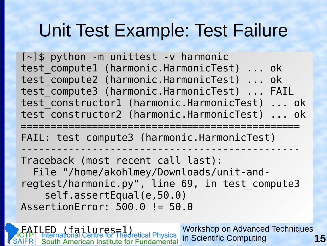### Unit Test Example: Test Failure

 $[-]$ \$ python -m unittest -v harmonic test compute1 (harmonic.HarmonicTest) ... ok test compute2 (harmonic.HarmonicTest) ... ok test compute3 (harmonic.HarmonicTest) ... FAIL test constructor1 (harmonic.HarmonicTest) ... ok test constructor2 (harmonic.HarmonicTest) ... ok

=============================================== FAIL: test compute3 (harmonic.HarmonicTest)

----------------------------------------------- Traceback (most recent call last): File "/home/akohlmey/Downloads/unit-andregtest/harmonic.py", line 69, in test\_compute3 self.assertEqual(e,50.0) AssertionError: 500.0 != 50.0

failures=1<br>Ational Centre for Theoretical Physics Workshop on Advanced Techniques in Scientific Computing **15** uth American Institute for Fundamental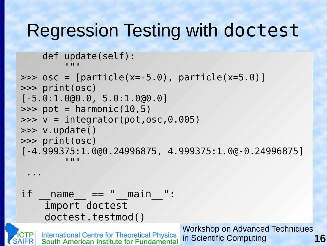#### Regression Testing with doctest

 def update(self):  $\mathcal{W} \times \mathcal{W}$ 

```
\Rightarrow \circ \circ \circ = [particle(x=-5.0), particle(x=5.0)]
>>> print(osc)
[-5.0:1.0@0.0, 5.0:1.0@0.0]
\gg > pot = harmonic(10,5)
\Rightarrow \quad \lor = integrator(pot, osc, 0.005)
>>> v.update()
>>> print(osc)
[-4.999375:1.0@0.24996875, 4.999375:1.0@-0.24996875]
\mathcal{L} \times \mathcal{L} \times \mathcal{L}
```
...

 $if$   $name$   $==$  "  $main$  ": import doctest doctest.testmod()

> Workshop on Advanced Techniques International Centre for Theoretical Physics<br>South American Institute for Fundamental in Scientific Computing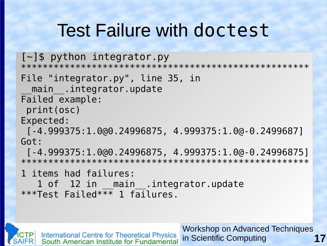## Test Failure with doctest

#### $[-]$ \$ python integrator.py

\*\*\*\*\*\*\*\*\*\*\*\*\*\*\*\*\*\*\*\*\*\*\*\*\*\*\*\*\*\*\*\*\*\*\*\*\*\*\*\*\*\*\*\*\*\*\*\*\*\*\*\*\*

#### File "integrator.py", line 35, in main .integrator.update

Failed example:

print(osc)

Expected:

[-4.999375:1.0@0.24996875, 4.999375:1.0@-0.2499687] Got:

[-4.999375:1.0@0.24996875, 4.999375:1.0@-0.24996875] \*\*\*\*\*\*\*\*\*\*\*\*\*\*\*\*\*\*\*\*\*\*\*\*\*\*\*\*\*\*\*\*\*\*\*\*\*\*\*\*\*\*\*\*\*\*\*\*\*\*\*\*\*

1 items had failures:

1 of 12 in main .integrator.update \*\*\*Test Failed\*\*\* 1 failures.

Workshop on Advanced Techniques International Centre for Theoretical Physics<br>South American Institute for Fundamental **17** in Scientific Computing